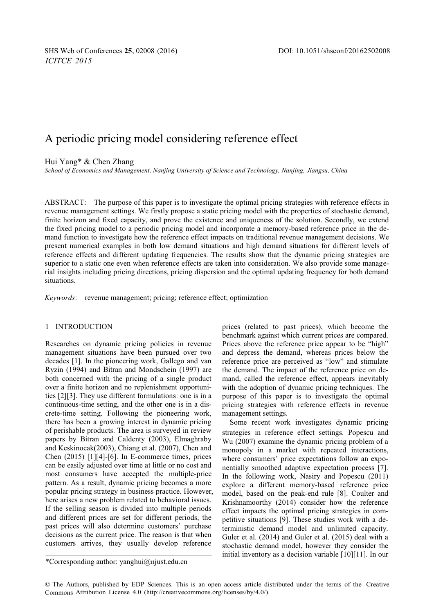# A periodic pricing model considering reference effect

Hui Yang\* & Chen Zhang

*School of Economics and Management, Nanjing University of Science and Technology, Nanjing, Jiangsu, China*

ABSTRACT: The purpose of this paper is to investigate the optimal pricing strategies with reference effects in revenue management settings. We firstly propose a static pricing model with the properties of stochastic demand, finite horizon and fixed capacity, and prove the existence and uniqueness of the solution. Secondly, we extend the fixed pricing model to a periodic pricing model and incorporate a memory-based reference price in the demand function to investigate how the reference effect impacts on traditional revenue management decisions. We present numerical examples in both low demand situations and high demand situations for different levels of reference effects and different updating frequencies. The results show that the dynamic pricing strategies are superior to a static one even when reference effects are taken into consideration. We also provide some managerial insights including pricing directions, pricing dispersion and the optimal updating frequency for both demand situations.

*Keywords*: revenue management; pricing; reference effect; optimization

# 1 INTRODUCTION

Researches on dynamic pricing policies in revenue management situations have been pursued over two decades [1]. In the pioneering work, Gallego and van Ryzin (1994) and Bitran and Mondschein (1997) are both concerned with the pricing of a single product over a finite horizon and no replenishment opportunities [2][3]. They use different formulations: one is in a continuous-time setting, and the other one is in a discrete-time setting. Following the pioneering work, there has been a growing interest in dynamic pricing of perishable products. The area is surveyed in review papers by Bitran and Caldenty (2003), Elmaghraby and Keskinocak(2003), Chiang et al. (2007), Chen and Chen (2015) [1][4]-[6]. In E-commerce times, prices can be easily adjusted over time at little or no cost and most consumers have accepted the multiple-price pattern. As a result, dynamic pricing becomes a more popular pricing strategy in business practice. However, here arises a new problem related to behavioral issues. If the selling season is divided into multiple periods and different prices are set for different periods, the past prices will also determine customers' purchase decisions as the current price. The reason is that when customers arrives, they usually develop reference

prices (related to past prices), which become the benchmark against which current prices are compared. Prices above the reference price appear to be "high" and depress the demand, whereas prices below the reference price are perceived as "low" and stimulate the demand. The impact of the reference price on demand, called the reference effect, appears inevitably with the adoption of dynamic pricing techniques. The purpose of this paper is to investigate the optimal pricing strategies with reference effects in revenue management settings.

Some recent work investigates dynamic pricing strategies in reference effect settings. Popescu and Wu (2007) examine the dynamic pricing problem of a monopoly in a market with repeated interactions, where consumers' price expectations follow an exponentially smoothed adaptive expectation process [7]. In the following work, Nasiry and Popescu (2011) explore a different memory-based reference price model, based on the peak-end rule [8]. Coulter and Krishnamoorthy (2014) consider how the reference effect impacts the optimal pricing strategies in competitive situations [9]. These studies work with a deterministic demand model and unlimited capacity. Guler et al. (2014) and Guler et al. (2015) deal with a stochastic demand model, however they consider the initial inventory as a decision variable [10][11]. In our

© The Authors, published by EDP Sciences. This is an open access article distributed under the terms of the Creative Commons Attribution License 4.0 [\(http://creativecommons.org/licenses/by/4.0/\).](http://creativecommons.org/licenses/by/4.0)

<sup>\*</sup>Corresponding author: yanghui@njust.edu.cn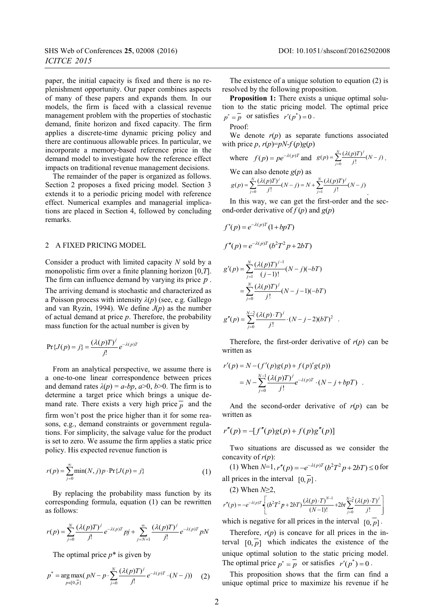paper, the initial capacity is fixed and there is no replenishment opportunity. Our paper combines aspects of many of these papers and expands them. In our models, the firm is faced with a classical revenue management problem with the properties of stochastic demand, finite horizon and fixed capacity. The firm applies a discrete-time dynamic pricing policy and there are continuous allowable prices. In particular, we incorporate a memory-based reference price in the demand model to investigate how the reference effect impacts on traditional revenue management decisions.

The remainder of the paper is organized as follows. Section 2 proposes a fixed pricing model. Section 3 extends it to a periodic pricing model with reference effect. Numerical examples and managerial implications are placed in Section 4, followed by concluding remarks.

## 2 A FIXED PRICING MODEL

Consider a product with limited capacity *N* sold by a monopolistic firm over a finite planning horizon [0,*T*]. The firm can influence demand by varying its price *p* .

The arriving demand is stochastic and characterized as a Poisson process with intensity *λ*(*p*) (see, e.g. Gallego and van Ryzin, 1994). We define *J*(*p*) as the number of actual demand at price *p*. Therefore, the probability mass function for the actual number is given by

$$
\Pr\{J(p) = j\} = \frac{(\lambda(p)T)^{j}}{j!} e^{-\lambda(p)T}
$$

From an analytical perspective, we assume there is a one-to-one linear correspondence between prices and demand rates  $\lambda(p) = a$ -bp,  $a > 0$ ,  $b > 0$ . The firm is to determine a target price which brings a unique demand rate. There exists a very high price  $\overline{p}$  and the firm won't post the price higher than it for some reasons, e.g., demand constraints or government regulations. For simplicity, the salvage value for the product is set to zero. We assume the firm applies a static price policy. His expected revenue function is

$$
r(p) = \sum_{j=0}^{\infty} \min(N, j) p \cdot \Pr\{J(p) = j\}
$$
 (1)

By replacing the probability mass function by its corresponding formula, equation (1) can be rewritten as follows:

$$
r(p) = \sum_{j=0}^{N} \frac{(\lambda(p)T)^j}{j!} e^{-\lambda(p)T} p j + \sum_{j=N+1}^{\infty} \frac{(\lambda(p)T)^j}{j!} e^{-\lambda(p)T} p N
$$

The optimal price  $p^*$  is given by

$$
p^* = \underset{p \in [0, \bar{p}]}{\arg \max} (pN - p \cdot \sum_{j=0}^{N} \frac{(\lambda(p)T)^j}{j!} e^{-\lambda(p)T} \cdot (N - j)) \tag{2}
$$

The existence of a unique solution to equation (2) is resolved by the following proposition.

**Proposition 1:** There exists a unique optimal solution to the static pricing model. The optimal price  $p^* = \overline{p}$  or satisfies  $r'(p^*) = 0$ .

Proof:

We denote  $r(p)$  as separate functions associated with price  $p, r(p)=pN-f(p)g(p)$ 

where 
$$
f(p) = pe^{-\lambda(p)T}
$$
 and  $g(p) = \sum_{j=0}^{N} \frac{(\lambda(p)T)^{j}}{j!} (N-j)$ .

We can also denote  $g(p)$  as

$$
g(p) = \sum_{j=0}^{N} \frac{(\lambda(p)T)^{j}}{j!} (N-j) = N + \sum_{j=1}^{N} \frac{(\lambda(p)T)^{j}}{j!} (N-j).
$$

In this way, we can get the first-order and the second-order derivative of  $f(p)$  and  $g(p)$ 

$$
f'(p) = e^{-\lambda(p)T} (1 + bpT)
$$
  
\n
$$
f''(p) = e^{-\lambda(p)T} (b^2T^2p + 2bT)
$$
  
\n
$$
g'(p) = \sum_{j=1}^{N} \frac{(\lambda(p)T)^{j-1}}{(j-1)!} (N-j)(-bT)
$$
  
\n
$$
= \sum_{j=0}^{N} \frac{(\lambda(p)T)^{j}}{j!} (N-j-1)(-bT)
$$
  
\n
$$
g''(p) = \sum_{j=0}^{N-2} \frac{(\lambda(p) \cdot T)^{j}}{j!} \cdot (N-j-2)(bT)^{2}
$$
.

Therefore, the first-order derivative of  $r(p)$  can be written as

$$
r'(p) = N - (f'(p)g(p) + f(p)'g(p))
$$
  
= 
$$
N - \sum_{j=0}^{N-1} \frac{(\lambda(p)T)^j}{j!} e^{-\lambda(p)T} \cdot (N - j + bpT) .
$$

And the second-order derivative of  $r(p)$  can be written as

$$
r''(p) = -[f''(p)g(p) + f(p)g''(p)]
$$

Two situations are discussed as we consider the concavity of *r*(*p*):

(1) When  $N=1$ ,  $r''(p) = -e^{-\lambda(p)T} (b^2 T^2 p + 2bT) \le 0$  for all prices in the interval  $\overline{[0, p]}$ .

(2) When *N*≥2,

$$
r''(p) = -e^{-\lambda(p)T} \left\{ (b^2 T^2 p + 2bT) \frac{(\lambda(p) \cdot T)^{N-1}}{(N-1)!} + 2bt \sum_{j=0}^{N-2} \frac{(\lambda(p) \cdot T)^j}{j!} \right\}
$$

which is negative for all prices in the interval  $[0, p]$ .

Therefore,  $r(p)$  is concave for all prices in the interval  $\overline{[0, p]}$  which indicates the existence of the unique optimal solution to the static pricing model. The optimal price  $p^* = \overline{p}$  or satisfies  $r'(p^*) = 0$ .

This proposition shows that the firm can find a unique optimal price to maximize his revenue if he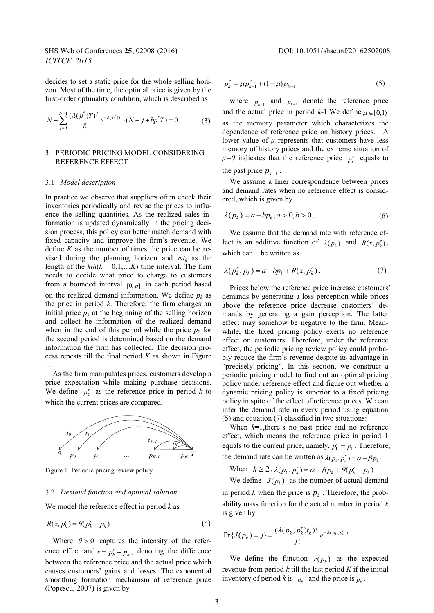decides to set a static price for the whole selling horizon. Most of the time, the optimal price is given by the first-order optimality condition, which is described as

$$
N - \sum_{j=0}^{N-1} \frac{(\lambda(p^*)T)^j}{j!} e^{-\lambda(p^*)T} \cdot (N - j + bp^*T) = 0
$$
 (3)

### 3 PERIODIC PRICING MODEL CONSIDERING REFERENCE EFFECT

#### 3.1 *Model description*

In practice we observe that suppliers often check their inventories periodically and revise the prices to influence the selling quantities. As the realized sales information is updated dynamically in the pricing decision process, this policy can better match demand with fixed capacity and improve the firm's revenue. We define  $K$  as the number of times the price can be revised during the planning horizon and  $\Delta t_k$  as the length of the  $kth(k = 0,1,...K)$  time interval. The firm needs to decide what price to charge to customers from a bounded interval  $\overline{[0, p]}$  in each period based on the realized demand information. We define  $p_k$  as the price in period *k*. Therefore, the firm charges an initial price  $p_1$  at the beginning of the selling horizon and collect he information of the realized demand when in the end of this period while the price  $p_2$  for the second period is determined based on the demand information the firm has collected. The decision process repeats till the final period  $K$  as shown in Figure 1.

As the firm manipulates prices, customers develop a price expectation while making purchase decisions. We define  $p_k^r$  as the reference price in period *k* to which the current prices are compared.



Figure 1. Periodic pricing review policy

#### 3.2 *Demand function and optimal solution*

We model the reference effect in period *k* as

$$
R(x, p_k^r) = \theta(p_k^r - p_k)
$$
\n<sup>(4)</sup>

Where  $\theta > 0$  captures the intensity of the reference effect and  $x = p_k^r - p_k$ , denoting the difference between the reference price and the actual price which causes customers' gains and losses. The exponential smoothing formation mechanism of reference price (Popescu, 2007) is given by

$$
p_k^r = \mu p_{k-1}^r + (1 - \mu) p_{k-1} \tag{5}
$$

where  $p_{k-1}^r$  and  $p_{k-1}$  denote the reference price and the actual price in period  $k-1$ . We define  $\mu \in [0,1]$ as the memory parameter which characterizes the dependence of reference price on history prices. A lower value of  $\mu$  represents that customers have less memory of history prices and the extreme situation of  $\mu=0$  indicates that the reference price  $p_k^r$  equals to

the past price 
$$
p_{k-1}
$$
.

We assume a liner correspondence between prices and demand rates when no reference effect is considered, which is given by

$$
\lambda(p_k) = a - bp_k, a > 0, b > 0. \tag{6}
$$

We assume that the demand rate with reference effect is an additive function of  $\lambda(p_k)$  and  $R(x, p'_k)$ , which can be written as

$$
\lambda(p_k^r, p_k) = a - bp_k + R(x, p_k^r).
$$
 (7)

Prices below the reference price increase customers' demands by generating a loss perception while prices above the reference price decrease customers' demands by generating a gain perception. The latter effect may somehow be negative to the firm. Meanwhile, the fixed pricing policy exerts no reference effect on customers. Therefore, under the reference effect, the periodic pricing review policy could probably reduce the firm's revenue despite its advantage in "precisely pricing". In this section, we construct a periodic pricing model to find out an optimal pricing policy under reference effect and figure out whether a dynamic pricing policy is superior to a fixed pricing policy in spite of the effect of reference prices. We can infer the demand rate in every period using equation (5) and equation (7) classified in two situations:

When  $k=1$ , there's no past price and no reference effect, which means the reference price in period 1 equals to the current price, namely,  $p_1^r = p_1$ . Therefore, the demand rate can be written as  $\lambda(p_1, p_1^r) = \alpha - \beta p_1$ .

When 
$$
k \ge 2
$$
,  $\lambda(p_k, p_k^r) = \alpha - \beta p_k + \theta(p_k^r - p_k)$ .

We define  $J(p_k)$  as the number of actual demand in period *k* when the price is  $p_k$ . Therefore, the probability mass function for the actual number in period *k* is given by

$$
\Pr\{J(p_k) = j\} = \frac{(\lambda(p_k, p_k^r)t_k)^j}{j!} e^{-\lambda(p_k, p_k^r)t_k}
$$

We define the function  $r(p_k)$  as the expected revenue from period *k* till the last period *K* if the initial inventory of period *k* is  $n_k$  and the price is  $p_k$ .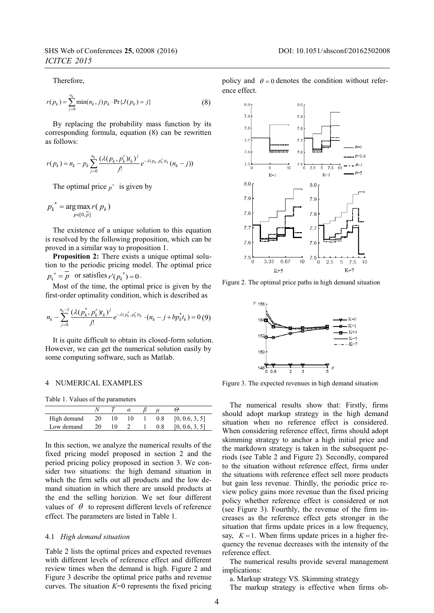Therefore,

$$
r(p_k) = \sum_{j=0}^{n_k} \min(n_k, j) p_k \cdot \Pr\{J(p_k) = j\}
$$
 (8)

By replacing the probability mass function by its corresponding formula, equation (8) can be rewritten as follows:

$$
r(p_k) = n_k - p_k \sum_{j=0}^{n_k} \frac{(\lambda(p_k, p_k^r)t_k)^j}{j!} e^{-\lambda(p_k, p_k^r)t_k} (n_k - j)
$$

The optimal price  $p^*$  is given by

$$
p_k^* = \arg\max_{p \in [0,\overline{p}]} r(p_k)
$$

The existence of a unique solution to this equation is resolved by the following proposition, which can be proved in a similar way to proposition 1.

**Proposition 2:** There exists a unique optimal solution to the periodic pricing model. The optimal price  $p_k^* = \overline{p}$  or satisfies  $r'(p_k^*) = 0$ .

Most of the time, the optimal price is given by the first-order optimality condition, which is described as

$$
n_k - \sum_{j=0}^{n_k-1} \frac{(\lambda(p_k^*, p_k^r)t_k)^j}{j!} e^{-\lambda(p_k^*, p_k^r)t_k} \cdot (n_k - j + bp_k^* t_k) = 0 \tag{9}
$$

It is quite difficult to obtain its closed-form solution. However, we can get the numerical solution easily by some computing software, such as Matlab.

#### 4 NUMERICAL EXAMPLES

Table 1. Values of the parameters

| High demand | - 20 | 10 | 10 | 0.8 | [0, 0.6, 3, 5] |
|-------------|------|----|----|-----|----------------|
| Low demand  | 20   |    |    | 0.8 | [0, 0.6, 3, 5] |

In this section, we analyze the numerical results of the fixed pricing model proposed in section 2 and the period pricing policy proposed in section 3. We consider two situations: the high demand situation in which the firm sells out all products and the low demand situation in which there are unsold products at the end the selling horizion. We set four different values of  $\theta$  to represent different levels of reference effect. The parameters are listed in Table 1.

# 4.1 *High demand situation*

Table 2 lists the optimal prices and expected revenues with different levels of reference effect and different review times when the demand is high. Figure 2 and Figure 3 describe the optimal price paths and revenue curves. The situation  $K=0$  represents the fixed pricing policy and  $\theta = 0$  denotes the condition without reference effect.



Figure 2. The optimal price paths in high demand situation



Figure 3. The expected revenues in high demand situation

The numerical results show that: Firstly, firms should adopt markup strategy in the high demand situation when no reference effect is considered. When considering reference effect, firms should adopt skimming strategy to anchor a high initial price and the markdown strategy is taken in the subsequent periods (see Table 2 and Figure 2). Secondly, compared to the situation without reference effect, firms under the situations with reference effect sell more products but gain less revenue. Thirdly, the periodic price review policy gains more revenue than the fixed pricing policy whether reference effect is considered or not (see Figure 3). Fourthly, the revenue of the firm increases as the reference effect gets stronger in the situation that firms update prices in a low frequency, say,  $K = 1$ . When firms update prices in a higher frequency the revenue decreases with the intensity of the reference effect.

The numerical results provide several management implications:

a. Markup strategy VS. Skimming strategy

The markup strategy is effective when firms ob-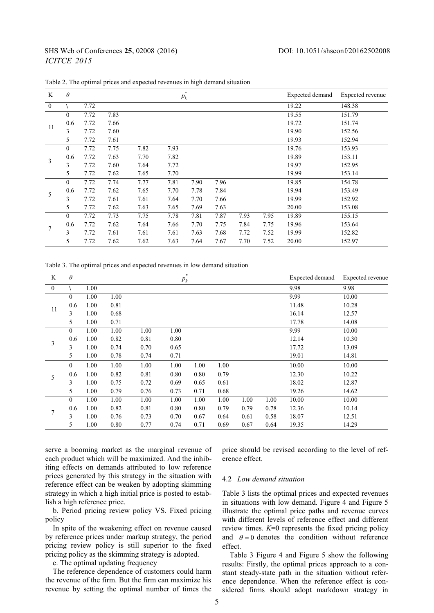| K        | $\theta$ |      |      |      | $\ast$<br>$p_k$ | Expected demand | Expected revenue |      |      |       |        |
|----------|----------|------|------|------|-----------------|-----------------|------------------|------|------|-------|--------|
| $\theta$ |          | 7.72 |      |      |                 |                 |                  |      |      | 19.22 | 148.38 |
| 11       | $\theta$ | 7.72 | 7.83 |      |                 |                 |                  |      |      | 19.55 | 151.79 |
|          | 0.6      | 7.72 | 7.66 |      |                 |                 |                  |      |      | 19.72 | 151.74 |
|          | 3        | 7.72 | 7.60 |      |                 |                 |                  |      |      | 19.90 | 152.56 |
|          | 5        | 7.72 | 7.61 |      |                 |                 |                  |      |      | 19.93 | 152.94 |
| 3        | $\Omega$ | 7.72 | 7.75 | 7.82 | 7.93            |                 |                  |      |      | 19.76 | 153.93 |
|          | 0.6      | 7.72 | 7.63 | 7.70 | 7.82            |                 |                  |      |      | 19.89 | 153.11 |
|          | 3        | 7.72 | 7.60 | 7.64 | 7.72            |                 |                  |      |      | 19.97 | 152.95 |
|          | 5        | 7.72 | 7.62 | 7.65 | 7.70            |                 |                  |      |      | 19.99 | 153.14 |
| 5        | $\theta$ | 7.72 | 7.74 | 7.77 | 7.81            | 7.90            | 7.96             |      |      | 19.85 | 154.78 |
|          | 0.6      | 7.72 | 7.62 | 7.65 | 7.70            | 7.78            | 7.84             |      |      | 19.94 | 153.49 |
|          | 3        | 7.72 | 7.61 | 7.61 | 7.64            | 7.70            | 7.66             |      |      | 19.99 | 152.92 |
|          | 5        | 7.72 | 7.62 | 7.63 | 7.65            | 7.69            | 7.63             |      |      | 20.00 | 153.08 |
| 7        | $\theta$ | 7.72 | 7.73 | 7.75 | 7.78            | 7.81            | 7.87             | 7.93 | 7.95 | 19.89 | 155.15 |
|          | 0.6      | 7.72 | 7.62 | 7.64 | 7.66            | 7.70            | 7.75             | 7.84 | 7.75 | 19.96 | 153.64 |
|          | 3        | 7.72 | 7.61 | 7.61 | 7.61            | 7.63            | 7.68             | 7.72 | 7.52 | 19.99 | 152.82 |
|          | 5        | 7.72 | 7.62 | 7.62 | 7.63            | 7.64            | 7.67             | 7.70 | 7.52 | 20.00 | 152.97 |

Table 2. The optimal prices and expected revenues in high demand situation

Table 3. The optimal prices and expected revenues in low demand situation

| K                | $\theta$     |      |      |      | $\ast$<br>$p_k$ |      | Expected demand | Expected revenue |      |       |       |
|------------------|--------------|------|------|------|-----------------|------|-----------------|------------------|------|-------|-------|
| $\boldsymbol{0}$ |              | 1.00 |      |      |                 |      |                 |                  |      | 9.98  | 9.98  |
| 11               | $\mathbf{0}$ | 1.00 | 1.00 |      |                 |      |                 |                  |      | 9.99  | 10.00 |
|                  | 0.6          | 1.00 | 0.81 |      |                 |      |                 |                  |      | 11.48 | 10.28 |
|                  | 3            | 1.00 | 0.68 |      |                 |      |                 |                  |      | 16.14 | 12.57 |
|                  | 5            | 1.00 | 0.71 |      |                 |      |                 |                  |      | 17.78 | 14.08 |
| 3                | $\mathbf{0}$ | 1.00 | 1.00 | 1.00 | 1.00            |      |                 |                  |      | 9.99  | 10.00 |
|                  | 0.6          | 1.00 | 0.82 | 0.81 | 0.80            |      |                 |                  |      | 12.14 | 10.30 |
|                  | 3            | 1.00 | 0.74 | 0.70 | 0.65            |      |                 |                  |      | 17.72 | 13.09 |
|                  | 5            | 1.00 | 0.78 | 0.74 | 0.71            |      |                 |                  |      | 19.01 | 14.81 |
| 5                | $\mathbf{0}$ | 1.00 | 1.00 | 1.00 | 1.00            | 1.00 | 1.00            |                  |      | 10.00 | 10.00 |
|                  | 0.6          | 1.00 | 0.82 | 0.81 | 0.80            | 0.80 | 0.79            |                  |      | 12.30 | 10.22 |
|                  | 3            | 1.00 | 0.75 | 0.72 | 0.69            | 0.65 | 0.61            |                  |      | 18.02 | 12.87 |
|                  | 5            | 1.00 | 0.79 | 0.76 | 0.73            | 0.71 | 0.68            |                  |      | 19.26 | 14.62 |
| 7                | $\theta$     | 1.00 | 1.00 | 1.00 | 1.00            | 1.00 | 1.00            | 1.00             | 1.00 | 10.00 | 10.00 |
|                  | 0.6          | 1.00 | 0.82 | 0.81 | 0.80            | 0.80 | 0.79            | 0.79             | 0.78 | 12.36 | 10.14 |
|                  | 3            | 1.00 | 0.76 | 0.73 | 0.70            | 0.67 | 0.64            | 0.61             | 0.58 | 18.07 | 12.51 |
|                  | 5            | 1.00 | 0.80 | 0.77 | 0.74            | 0.71 | 0.69            | 0.67             | 0.64 | 19.35 | 14.29 |

serve a booming market as the marginal revenue of each product which will be maximized. And the inhibiting effects on demands attributed to low reference prices generated by this strategy in the situation with reference effect can be weaken by adopting skimming strategy in which a high initial price is posted to establish a high reference price.

b. Period pricing review policy VS. Fixed pricing policy

In spite of the weakening effect on revenue caused by reference prices under markup strategy, the period pricing review policy is still superior to the fixed pricing policy as the skimming strategy is adopted.

c. The optimal updating frequency

The reference dependence of customers could harm the revenue of the firm. But the firm can maximize his revenue by setting the optimal number of times the price should be revised according to the level of reference effect.

### 4.2 *Low demand situation*

Table 3 lists the optimal prices and expected revenues in situations with low demand. Figure 4 and Figure 5 illustrate the optimal price paths and revenue curves with different levels of reference effect and different review times. *K*=0 represents the fixed pricing policy and  $\theta = 0$  denotes the condition without reference effect.

Table 3 Figure 4 and Figure 5 show the following results: Firstly, the optimal prices approach to a constant steady-state path in the situation without reference dependence. When the reference effect is considered firms should adopt markdown strategy in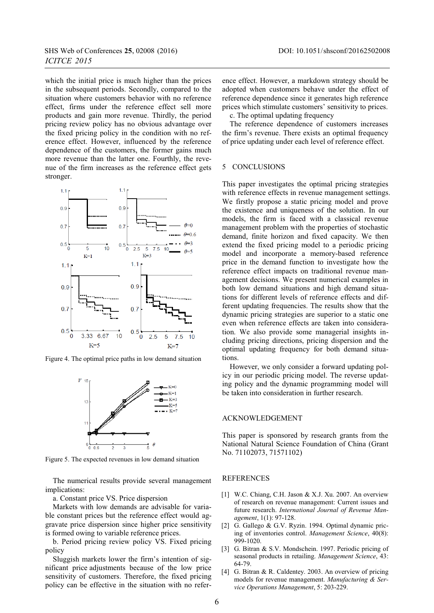which the initial price is much higher than the prices in the subsequent periods. Secondly, compared to the situation where customers behavior with no reference effect, firms under the reference effect sell more products and gain more revenue. Thirdly, the period pricing review policy has no obvious advantage over the fixed pricing policy in the condition with no reference effect. However, influenced by the reference dependence of the customers, the former gains much more revenue than the latter one. Fourthly, the revenue of the firm increases as the reference effect gets stronger.



Figure 4. The optimal price paths in low demand situation



Figure 5. The expected revenues in low demand situation

The numerical results provide several management implications:

a. Constant price VS. Price dispersion

Markets with low demands are advisable for variable constant prices but the reference effect would aggravate price dispersion since higher price sensitivity is formed owing to variable reference prices.

b. Period pricing review policy VS. Fixed pricing policy

Sluggish markets lower the firm's intention of significant price adjustments because of the low price sensitivity of customers. Therefore, the fixed pricing policy can be effective in the situation with no refer-

ence effect. However, a markdown strategy should be adopted when customers behave under the effect of reference dependence since it generates high reference prices which stimulate customers' sensitivity to prices.

c. The optimal updating frequency

The reference dependence of customers increases the firm's revenue. There exists an optimal frequency of price updating under each level of reference effect.

### 5 CONCLUSIONS

This paper investigates the optimal pricing strategies with reference effects in revenue management settings. We firstly propose a static pricing model and prove the existence and uniqueness of the solution. In our models, the firm is faced with a classical revenue management problem with the properties of stochastic demand, finite horizon and fixed capacity. We then extend the fixed pricing model to a periodic pricing model and incorporate a memory-based reference price in the demand function to investigate how the reference effect impacts on traditional revenue management decisions. We present numerical examples in both low demand situations and high demand situations for different levels of reference effects and different updating frequencies. The results show that the dynamic pricing strategies are superior to a static one even when reference effects are taken into consideration. We also provide some managerial insights including pricing directions, pricing dispersion and the optimal updating frequency for both demand situations.

However, we only consider a forward updating policy in our periodic pricing model. The reverse updating policy and the dynamic programming model will be taken into consideration in further research.

#### ACKNOWLEDGEMENT

This paper is sponsored by research grants from the National Natural Science Foundation of China (Grant No. 71102073, 71571102)

#### REFERENCES

- [1] W.C. Chiang, C.H. Jason & X.J. Xu. 2007. An overview of research on revenue management: Current issues and future research. *International Journal of Revenue Management*, 1(1): 97-128.
- [2] G. Gallego & G.V. Ryzin. 1994. Optimal dynamic pricing of inventories control. *Management Science*, 40(8): 999-1020.
- [3] G. Bitran & S.V. Mondschein. 1997. Periodic pricing of seasonal products in retailing. *Management Science*, 43: 64-79.
- [4] G. Bitran & R. Caldentey. 2003. An overview of pricing models for revenue management. *Manufacturing & Service Operations Management*, 5: 203-229.